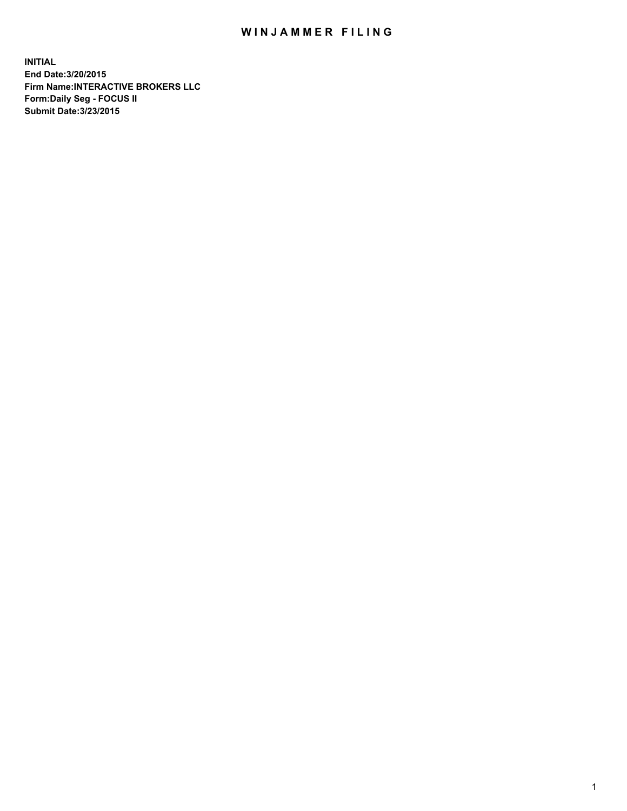## WIN JAMMER FILING

**INITIAL End Date:3/20/2015 Firm Name:INTERACTIVE BROKERS LLC Form:Daily Seg - FOCUS II Submit Date:3/23/2015**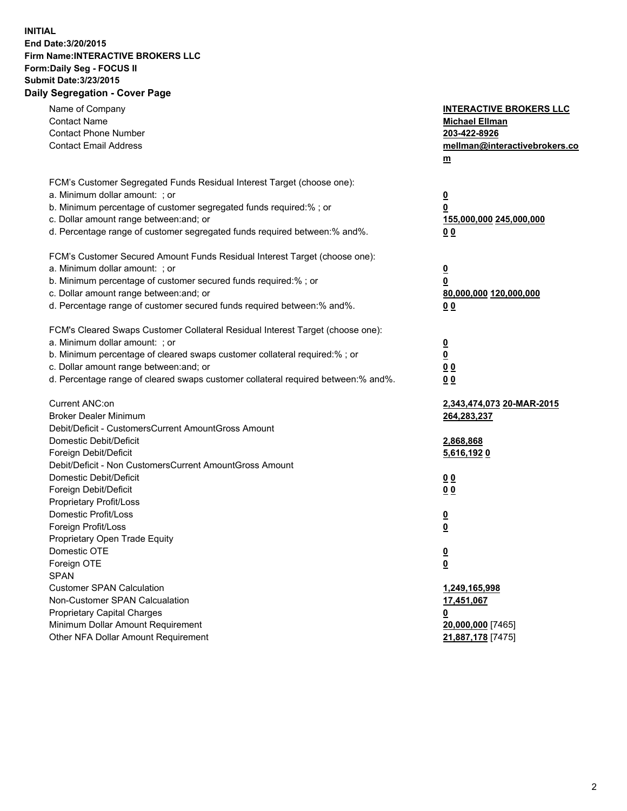## **INITIAL End Date:3/20/2015 Firm Name:INTERACTIVE BROKERS LLC Form:Daily Seg - FOCUS II Submit Date:3/23/2015 Daily Segregation - Cover Page**

| Name of Company<br><b>Contact Name</b><br><b>Contact Phone Number</b><br><b>Contact Email Address</b>                                                                                                                                                                                                                          | <b>INTERACTIVE BROKERS LLC</b><br><b>Michael Ellman</b><br>203-422-8926<br>mellman@interactivebrokers.co<br>$m$ |
|--------------------------------------------------------------------------------------------------------------------------------------------------------------------------------------------------------------------------------------------------------------------------------------------------------------------------------|-----------------------------------------------------------------------------------------------------------------|
| FCM's Customer Segregated Funds Residual Interest Target (choose one):<br>a. Minimum dollar amount: ; or<br>b. Minimum percentage of customer segregated funds required:% ; or<br>c. Dollar amount range between: and; or<br>d. Percentage range of customer segregated funds required between:% and%.                         | $\overline{\mathbf{0}}$<br>0<br>155,000,000 245,000,000<br>0 <sub>0</sub>                                       |
| FCM's Customer Secured Amount Funds Residual Interest Target (choose one):<br>a. Minimum dollar amount: ; or<br>b. Minimum percentage of customer secured funds required:% ; or<br>c. Dollar amount range between: and; or<br>d. Percentage range of customer secured funds required between:% and%.                           | $\overline{\mathbf{0}}$<br>0<br>80,000,000 120,000,000<br>0 <sub>0</sub>                                        |
| FCM's Cleared Swaps Customer Collateral Residual Interest Target (choose one):<br>a. Minimum dollar amount: ; or<br>b. Minimum percentage of cleared swaps customer collateral required:% ; or<br>c. Dollar amount range between: and; or<br>d. Percentage range of cleared swaps customer collateral required between:% and%. | $\overline{\mathbf{0}}$<br>$\overline{\mathbf{0}}$<br>0 <sub>0</sub><br>0 <sub>0</sub>                          |
| Current ANC:on<br><b>Broker Dealer Minimum</b><br>Debit/Deficit - CustomersCurrent AmountGross Amount<br>Domestic Debit/Deficit<br>Foreign Debit/Deficit                                                                                                                                                                       | 2,343,474,073 20-MAR-2015<br>264,283,237<br>2,868,868<br>5,616,1920                                             |
| Debit/Deficit - Non CustomersCurrent AmountGross Amount<br>Domestic Debit/Deficit<br>Foreign Debit/Deficit<br>Proprietary Profit/Loss<br>Domestic Profit/Loss<br>Foreign Profit/Loss                                                                                                                                           | 0 <sub>0</sub><br>0 <sub>0</sub><br>$\overline{\mathbf{0}}$<br>$\underline{\mathbf{0}}$                         |
| Proprietary Open Trade Equity<br>Domestic OTE<br>Foreign OTE<br><b>SPAN</b><br><b>Customer SPAN Calculation</b>                                                                                                                                                                                                                | <u>0</u><br><u>0</u><br>1,249,165,998                                                                           |
| Non-Customer SPAN Calcualation<br>Proprietary Capital Charges<br>Minimum Dollar Amount Requirement<br>Other NFA Dollar Amount Requirement                                                                                                                                                                                      | 17,451,067<br><u>0</u><br>20,000,000 [7465]<br>21,887,178 [7475]                                                |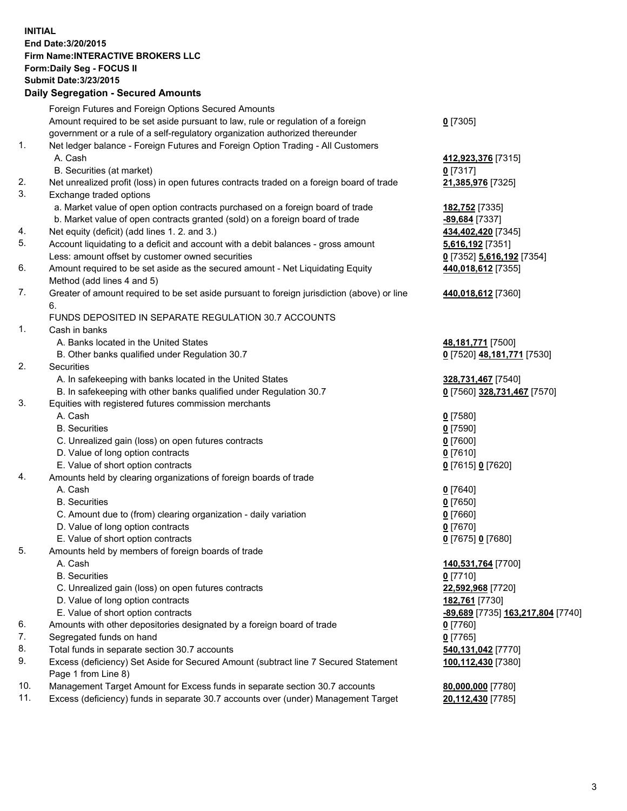## **INITIAL End Date:3/20/2015 Firm Name:INTERACTIVE BROKERS LLC Form:Daily Seg - FOCUS II Submit Date:3/23/2015 Daily Segregation - Secured Amounts**

|     | Foreign Futures and Foreign Options Secured Amounts                                                        |                                   |
|-----|------------------------------------------------------------------------------------------------------------|-----------------------------------|
|     | Amount required to be set aside pursuant to law, rule or regulation of a foreign                           | $0$ [7305]                        |
|     | government or a rule of a self-regulatory organization authorized thereunder                               |                                   |
| 1.  | Net ledger balance - Foreign Futures and Foreign Option Trading - All Customers                            |                                   |
|     | A. Cash                                                                                                    | 412,923,376 [7315]                |
|     | B. Securities (at market)                                                                                  | $0$ [7317]                        |
| 2.  | Net unrealized profit (loss) in open futures contracts traded on a foreign board of trade                  | 21,385,976 [7325]                 |
| 3.  | Exchange traded options                                                                                    |                                   |
|     | a. Market value of open option contracts purchased on a foreign board of trade                             | <u>182,752</u> [7335]             |
|     | b. Market value of open contracts granted (sold) on a foreign board of trade                               | -89,684 [7337]                    |
| 4.  | Net equity (deficit) (add lines 1.2. and 3.)                                                               | 434,402,420 [7345]                |
| 5.  | Account liquidating to a deficit and account with a debit balances - gross amount                          | 5,616,192 <sub>[7351]</sub>       |
|     | Less: amount offset by customer owned securities                                                           | 0 [7352] 5,616,192 [7354]         |
| 6.  | Amount required to be set aside as the secured amount - Net Liquidating Equity                             | 440,018,612 [7355]                |
|     | Method (add lines 4 and 5)                                                                                 |                                   |
| 7.  | Greater of amount required to be set aside pursuant to foreign jurisdiction (above) or line                | 440,018,612 [7360]                |
|     | 6.                                                                                                         |                                   |
|     | FUNDS DEPOSITED IN SEPARATE REGULATION 30.7 ACCOUNTS                                                       |                                   |
| 1.  | Cash in banks                                                                                              |                                   |
|     | A. Banks located in the United States                                                                      | 48,181,771 [7500]                 |
|     | B. Other banks qualified under Regulation 30.7                                                             | 0 [7520] 48,181,771 [7530]        |
| 2.  | Securities                                                                                                 |                                   |
|     | A. In safekeeping with banks located in the United States                                                  | 328,731,467 [7540]                |
|     | B. In safekeeping with other banks qualified under Regulation 30.7                                         | 0 [7560] 328,731,467 [7570]       |
| 3.  | Equities with registered futures commission merchants                                                      |                                   |
|     | A. Cash                                                                                                    | $0$ [7580]                        |
|     | <b>B.</b> Securities                                                                                       | $0$ [7590]                        |
|     | C. Unrealized gain (loss) on open futures contracts                                                        | $0$ [7600]                        |
|     | D. Value of long option contracts                                                                          | $0$ [7610]                        |
|     | E. Value of short option contracts                                                                         | 0 [7615] 0 [7620]                 |
| 4.  | Amounts held by clearing organizations of foreign boards of trade                                          |                                   |
|     | A. Cash                                                                                                    | $0$ [7640]                        |
|     | <b>B.</b> Securities                                                                                       | $0$ [7650]                        |
|     | C. Amount due to (from) clearing organization - daily variation                                            | $0$ [7660]                        |
|     | D. Value of long option contracts                                                                          | $0$ [7670]                        |
|     | E. Value of short option contracts                                                                         | 0 [7675] 0 [7680]                 |
| 5.  | Amounts held by members of foreign boards of trade                                                         |                                   |
|     | A. Cash                                                                                                    | 140,531,764 [7700]                |
|     | <b>B.</b> Securities                                                                                       | $0$ [7710]                        |
|     | C. Unrealized gain (loss) on open futures contracts                                                        | 22,592,968 [7720]                 |
|     | D. Value of long option contracts                                                                          | 182,761 [7730]                    |
|     | E. Value of short option contracts                                                                         | -89,689 [7735] 163,217,804 [7740] |
| 6.  | Amounts with other depositories designated by a foreign board of trade                                     | 0 [7760]                          |
| 7.  | Segregated funds on hand                                                                                   | $0$ [7765]                        |
| 8.  | Total funds in separate section 30.7 accounts                                                              | 540,131,042 [7770]                |
| 9.  | Excess (deficiency) Set Aside for Secured Amount (subtract line 7 Secured Statement<br>Page 1 from Line 8) | 100,112,430 [7380]                |
| 10. | Management Target Amount for Excess funds in separate section 30.7 accounts                                | 80,000,000 [7780]                 |
| 11. | Excess (deficiency) funds in separate 30.7 accounts over (under) Management Target                         | 20,112,430 [7785]                 |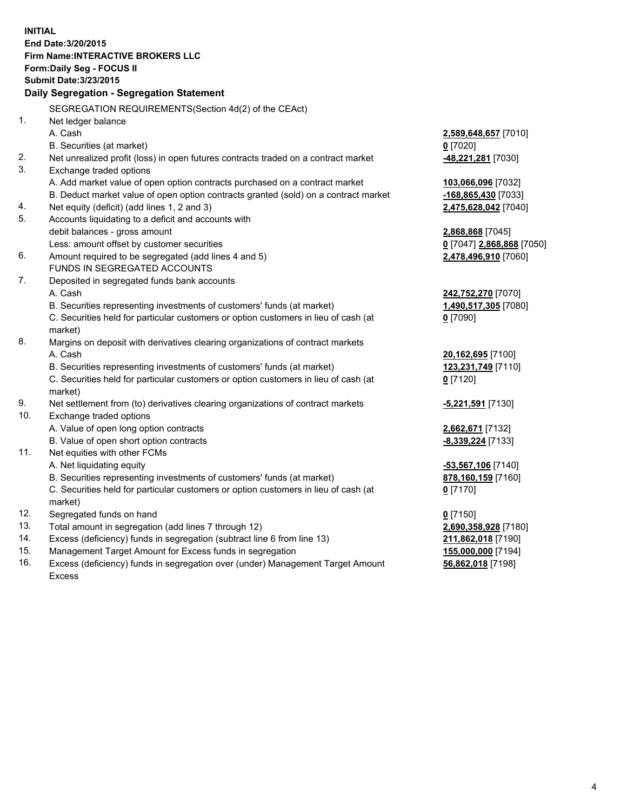**INITIAL End Date:3/20/2015 Firm Name:INTERACTIVE BROKERS LLC Form:Daily Seg - FOCUS II Submit Date:3/23/2015 Daily Segregation - Segregation Statement** SEGREGATION REQUIREMENTS(Section 4d(2) of the CEAct) 1. Net ledger balance A. Cash **2,589,648,657** [7010] B. Securities (at market) **0** [7020] 2. Net unrealized profit (loss) in open futures contracts traded on a contract market **-48,221,281** [7030] 3. Exchange traded options A. Add market value of open option contracts purchased on a contract market **103,066,096** [7032] B. Deduct market value of open option contracts granted (sold) on a contract market **-168,865,430** [7033] 4. Net equity (deficit) (add lines 1, 2 and 3) **2,475,628,042** [7040] 5. Accounts liquidating to a deficit and accounts with debit balances - gross amount **2,868,868** [7045] Less: amount offset by customer securities **0** [7047] **2,868,868** [7050] 6. Amount required to be segregated (add lines 4 and 5) **2,478,496,910** [7060] FUNDS IN SEGREGATED ACCOUNTS 7. Deposited in segregated funds bank accounts A. Cash **242,752,270** [7070] B. Securities representing investments of customers' funds (at market) **1,490,517,305** [7080] C. Securities held for particular customers or option customers in lieu of cash (at market) **0** [7090] 8. Margins on deposit with derivatives clearing organizations of contract markets A. Cash **20,162,695** [7100] B. Securities representing investments of customers' funds (at market) **123,231,749** [7110] C. Securities held for particular customers or option customers in lieu of cash (at market) **0** [7120] 9. Net settlement from (to) derivatives clearing organizations of contract markets **-5,221,591** [7130] 10. Exchange traded options A. Value of open long option contracts **2,662,671** [7132] B. Value of open short option contracts **-8,339,224** [7133] 11. Net equities with other FCMs A. Net liquidating equity **-53,567,106** [7140] B. Securities representing investments of customers' funds (at market) **878,160,159** [7160] C. Securities held for particular customers or option customers in lieu of cash (at market) **0** [7170] 12. Segregated funds on hand **0** [7150] 13. Total amount in segregation (add lines 7 through 12) **2,690,358,928** [7180] 14. Excess (deficiency) funds in segregation (subtract line 6 from line 13) **211,862,018** [7190] 15. Management Target Amount for Excess funds in segregation **155,000,000** [7194]

16. Excess (deficiency) funds in segregation over (under) Management Target Amount Excess

**56,862,018** [7198]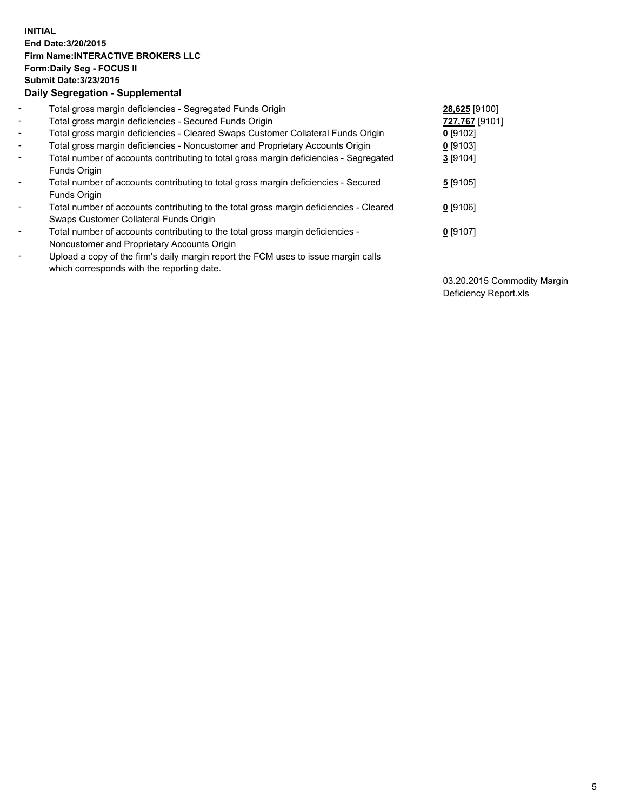## **INITIAL End Date:3/20/2015 Firm Name:INTERACTIVE BROKERS LLC Form:Daily Seg - FOCUS II Submit Date:3/23/2015 Daily Segregation - Supplemental**

| $\blacksquare$ | Total gross margin deficiencies - Segregated Funds Origin                              | 28,625 [9100]  |
|----------------|----------------------------------------------------------------------------------------|----------------|
| $\blacksquare$ | Total gross margin deficiencies - Secured Funds Origin                                 | 727,767 [9101] |
| $\blacksquare$ | Total gross margin deficiencies - Cleared Swaps Customer Collateral Funds Origin       | $0$ [9102]     |
| $\blacksquare$ | Total gross margin deficiencies - Noncustomer and Proprietary Accounts Origin          | $0$ [9103]     |
| $\blacksquare$ | Total number of accounts contributing to total gross margin deficiencies - Segregated  | 3[9104]        |
|                | <b>Funds Origin</b>                                                                    |                |
| $\blacksquare$ | Total number of accounts contributing to total gross margin deficiencies - Secured     | 5[9105]        |
|                | <b>Funds Origin</b>                                                                    |                |
|                | Total number of accounts contributing to the total gross margin deficiencies - Cleared | $0$ [9106]     |
|                | Swaps Customer Collateral Funds Origin                                                 |                |
| $\blacksquare$ | Total number of accounts contributing to the total gross margin deficiencies -         | $0$ [9107]     |
|                | Noncustomer and Proprietary Accounts Origin                                            |                |
| $\blacksquare$ | Upload a copy of the firm's daily margin report the FCM uses to issue margin calls     |                |
|                | which corresponds with the reporting date.                                             |                |

03.20.2015 Commodity Margin Deficiency Report.xls